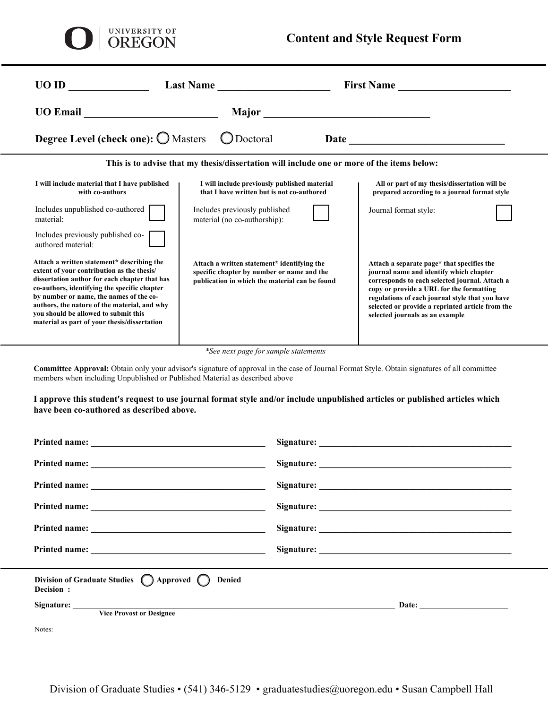| UNIVERSITY OF<br>OREGON                                                                                                                                                                                                                                                                                                                                                      | <b>Content and Style Request Form</b>                                                                                                                                                                                         |                                                                                                                                                                                                                                                                                                                               |  |
|------------------------------------------------------------------------------------------------------------------------------------------------------------------------------------------------------------------------------------------------------------------------------------------------------------------------------------------------------------------------------|-------------------------------------------------------------------------------------------------------------------------------------------------------------------------------------------------------------------------------|-------------------------------------------------------------------------------------------------------------------------------------------------------------------------------------------------------------------------------------------------------------------------------------------------------------------------------|--|
| UO ID                                                                                                                                                                                                                                                                                                                                                                        | Last Name                                                                                                                                                                                                                     | <b>First Name</b>                                                                                                                                                                                                                                                                                                             |  |
| UO Email <u>contract the contract of the contract of the contract of the contract of the contract of the contract of the contract of the contract of the contract of the contract of the contract of the contract of the contrac</u>                                                                                                                                         | Major and the state of the state of the state of the state of the state of the state of the state of the state of the state of the state of the state of the state of the state of the state of the state of the state of the |                                                                                                                                                                                                                                                                                                                               |  |
| <b>Degree Level (check one): O Masters</b><br>Doctoral                                                                                                                                                                                                                                                                                                                       |                                                                                                                                                                                                                               |                                                                                                                                                                                                                                                                                                                               |  |
| This is to advise that my thesis/dissertation will include one or more of the items below:                                                                                                                                                                                                                                                                                   |                                                                                                                                                                                                                               |                                                                                                                                                                                                                                                                                                                               |  |
| I will include material that I have published<br>with co-authors                                                                                                                                                                                                                                                                                                             | I will include previously published material<br>that I have written but is not co-authored                                                                                                                                    | All or part of my thesis/dissertation will be<br>prepared according to a journal format style                                                                                                                                                                                                                                 |  |
| Includes unpublished co-authored<br>material:                                                                                                                                                                                                                                                                                                                                | Includes previously published<br>material (no co-authorship):                                                                                                                                                                 | Journal format style:                                                                                                                                                                                                                                                                                                         |  |
| Includes previously published co-<br>authored material:                                                                                                                                                                                                                                                                                                                      |                                                                                                                                                                                                                               |                                                                                                                                                                                                                                                                                                                               |  |
| Attach a written statement* describing the<br>extent of your contribution as the thesis/<br>dissertation author for each chapter that has<br>co-authors, identifying the specific chapter<br>by number or name, the names of the co-<br>authors, the nature of the material, and why<br>you should be allowed to submit this<br>material as part of your thesis/dissertation | Attach a written statement* identifying the<br>specific chapter by number or name and the<br>publication in which the material can be found                                                                                   | Attach a separate page* that specifies the<br>journal name and identify which chapter<br>corresponds to each selected journal. Attach a<br>copy or provide a URL for the formatting<br>regulations of each journal style that you have<br>selected or provide a reprinted article from the<br>selected journals as an example |  |

*\*See next page for sample statements* 

**Committee Approval:** Obtain only your advisor's signature of approval in the case of Journal Format Style. Obtain signatures of all committee members when including Unpublished or Published Material as described above

**I approve this student's request to use journal format style and/or include unpublished articles or published articles which have been co-authored as described above.**

| Division of Graduate Studies $\bigcap$ Approved $\bigcap$<br>Denied<br>Decision : |  |
|-----------------------------------------------------------------------------------|--|
| <b>Vice Provost or Designee</b>                                                   |  |
| Notes:                                                                            |  |